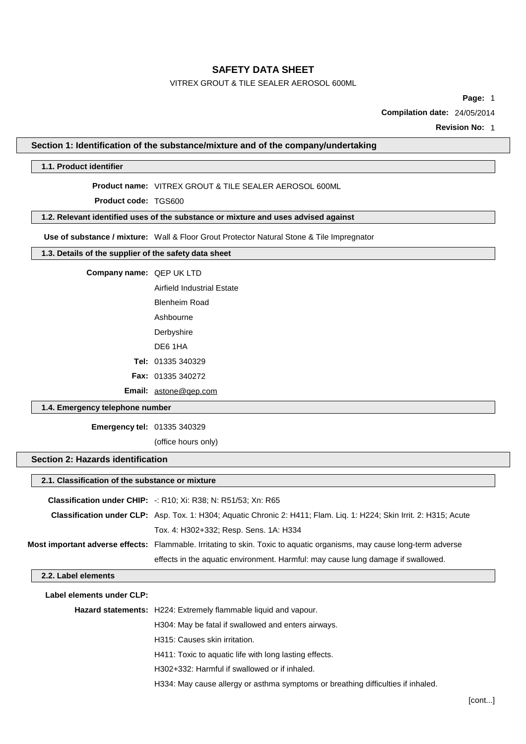## VITREX GROUT & TILE SEALER AEROSOL 600ML

**Page:** 1

**Compilation date:** 24/05/2014

**Revision No:** 1

#### **Section 1: Identification of the substance/mixture and of the company/undertaking**

#### **1.1. Product identifier**

#### **Product name:** VITREX GROUT & TILE SEALER AEROSOL 600ML

**Product code:** TGS600

## **1.2. Relevant identified uses of the substance or mixture and uses advised against**

**Use of substance / mixture:** Wall & Floor Grout Protector Natural Stone & Tile Impregnator

### **1.3. Details of the supplier of the safety data sheet**

#### **Company name:** QEP UK LTD

Airfield Industrial Estate

Blenheim Road

Ashbourne

Derbyshire

DE6 1HA

**Tel:** 01335 340329

**Fax:** 01335 340272

**Email:** [astone@qep.com](mailto:astone@qep.com)

#### **1.4. Emergency telephone number**

**Emergency tel:** 01335 340329

(office hours only)

### **Section 2: Hazards identification**

| 2.1. Classification of the substance or mixture                                                                             |                                                                                                                        |
|-----------------------------------------------------------------------------------------------------------------------------|------------------------------------------------------------------------------------------------------------------------|
|                                                                                                                             | <b>Classification under CHIP:</b> $-$ : R10; Xi: R38; N: R51/53; Xn: R65                                               |
| <b>Classification under CLP:</b> Asp. Tox. 1: H304; Aquatic Chronic 2: H411; Flam. Liq. 1: H224; Skin Irrit. 2: H315; Acute |                                                                                                                        |
|                                                                                                                             | Tox. 4: H302+332; Resp. Sens. 1A: H334                                                                                 |
|                                                                                                                             | Most important adverse effects: Flammable. Irritating to skin. Toxic to aquatic organisms, may cause long-term adverse |
|                                                                                                                             | effects in the aquatic environment. Harmful: may cause lung damage if swallowed.                                       |
| 2.2. Label elements                                                                                                         |                                                                                                                        |
| Label elements under CLP:                                                                                                   |                                                                                                                        |
|                                                                                                                             | <b>Hazard statements:</b> H224: Extremely flammable liquid and vapour.                                                 |
|                                                                                                                             | H304: May be fatal if swallowed and enters airways.                                                                    |
|                                                                                                                             | H315: Causes skin irritation.                                                                                          |
|                                                                                                                             | H411: Toxic to aquatic life with long lasting effects.                                                                 |
|                                                                                                                             | H302+332: Harmful if swallowed or if inhaled.                                                                          |
|                                                                                                                             | H334: May cause allergy or asthma symptoms or breathing difficulties if inhaled.                                       |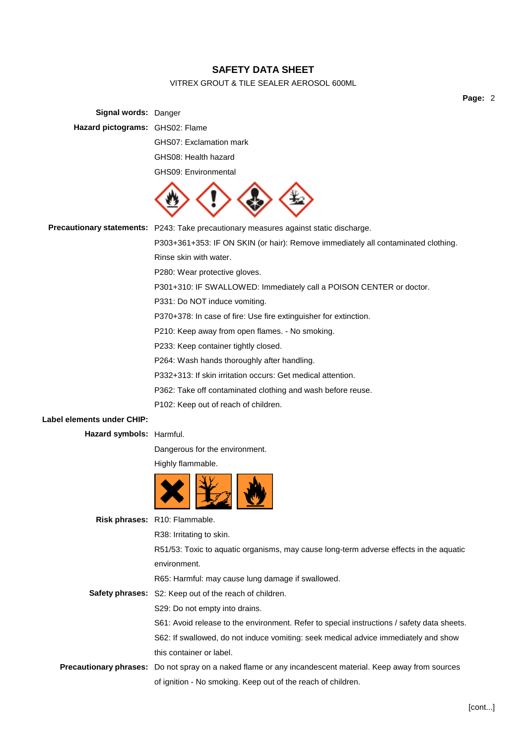## VITREX GROUT & TILE SEALER AEROSOL 600ML

**Page:** 2

|                                 |                                                                                                           | гa! |
|---------------------------------|-----------------------------------------------------------------------------------------------------------|-----|
| Signal words: Danger            |                                                                                                           |     |
| Hazard pictograms: GHS02: Flame |                                                                                                           |     |
|                                 | GHS07: Exclamation mark                                                                                   |     |
|                                 | GHS08: Health hazard                                                                                      |     |
|                                 | <b>GHS09: Environmental</b>                                                                               |     |
|                                 |                                                                                                           |     |
|                                 | Precautionary statements: P243: Take precautionary measures against static discharge.                     |     |
|                                 | P303+361+353: IF ON SKIN (or hair): Remove immediately all contaminated clothing.                         |     |
|                                 | Rinse skin with water.                                                                                    |     |
|                                 | P280: Wear protective gloves.                                                                             |     |
|                                 | P301+310: IF SWALLOWED: Immediately call a POISON CENTER or doctor.                                       |     |
|                                 | P331: Do NOT induce vomiting.                                                                             |     |
|                                 | P370+378: In case of fire: Use fire extinguisher for extinction.                                          |     |
|                                 | P210: Keep away from open flames. - No smoking.                                                           |     |
|                                 | P233: Keep container tightly closed.                                                                      |     |
|                                 | P264: Wash hands thoroughly after handling.                                                               |     |
|                                 | P332+313: If skin irritation occurs: Get medical attention.                                               |     |
|                                 | P362: Take off contaminated clothing and wash before reuse.                                               |     |
|                                 | P102: Keep out of reach of children.                                                                      |     |
| Label elements under CHIP:      |                                                                                                           |     |
| Hazard symbols: Harmful.        |                                                                                                           |     |
|                                 | Dangerous for the environment.                                                                            |     |
|                                 | Highly flammable.                                                                                         |     |
|                                 |                                                                                                           |     |
|                                 | Risk phrases: R10: Flammable.                                                                             |     |
|                                 | R38: Irritating to skin.                                                                                  |     |
|                                 | R51/53: Toxic to aquatic organisms, may cause long-term adverse effects in the aquatic                    |     |
|                                 | environment.                                                                                              |     |
|                                 | R65: Harmful: may cause lung damage if swallowed.                                                         |     |
|                                 | <b>Safety phrases:</b> S2: Keep out of the reach of children.                                             |     |
|                                 | S29: Do not empty into drains.                                                                            |     |
|                                 | S61: Avoid release to the environment. Refer to special instructions / safety data sheets.                |     |
|                                 | S62: If swallowed, do not induce vomiting: seek medical advice immediately and show                       |     |
|                                 | this container or label.                                                                                  |     |
|                                 | Precautionary phrases: Do not spray on a naked flame or any incandescent material. Keep away from sources |     |
|                                 | of ignition - No smoking. Keep out of the reach of children.                                              |     |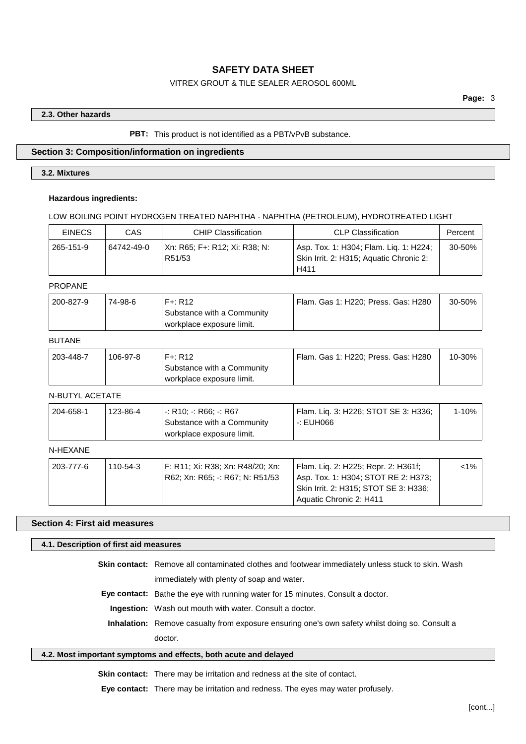## VITREX GROUT & TILE SEALER AEROSOL 600ML

#### **2.3. Other hazards**

#### **PBT:** This product is not identified as a PBT/vPvB substance.

## **Section 3: Composition/information on ingredients**

### **3.2. Mixtures**

#### **Hazardous ingredients:**

#### LOW BOILING POINT HYDROGEN TREATED NAPHTHA - NAPHTHA (PETROLEUM), HYDROTREATED LIGHT

| <b>EINECS</b> | CAS        | <b>CHIP Classification</b>              | <b>CLP Classification</b>                                                                 | Percent |
|---------------|------------|-----------------------------------------|-------------------------------------------------------------------------------------------|---------|
| 265-151-9     | 64742-49-0 | Xn: R65; F+: R12; Xi: R38; N:<br>R51/53 | Asp. Tox. 1: H304; Flam. Liq. 1: H224;<br>Skin Irrit. 2: H315; Aquatic Chronic 2:<br>H411 | 30-50%  |

### PROPANE

| 200-827-9 | 74-98-6 | $F +: R12$                 | <sup>'</sup> Flam. Gas 1: H220; Press. Gas: H280 | 30-50% |
|-----------|---------|----------------------------|--------------------------------------------------|--------|
|           |         | Substance with a Community |                                                  |        |
|           |         | workplace exposure limit.  |                                                  |        |

## BUTANE

| 203-448-7 | 106-97-8 | $F + R12$                                               | Flam. Gas 1: H220; Press. Gas: H280 | 10-30% |
|-----------|----------|---------------------------------------------------------|-------------------------------------|--------|
|           |          | Substance with a Community<br>workplace exposure limit. |                                     |        |

## N-BUTYL ACETATE

| 204-658-1 | 123-86-4 | -: R10: -: R66: -: R67     | Flam. Lig. 3: H226; STOT SE 3: H336; | 1-10% |
|-----------|----------|----------------------------|--------------------------------------|-------|
|           |          | Substance with a Community | -: EUH066                            |       |
|           |          | workplace exposure limit.  |                                      |       |

## N-HEXANE

| 203-777-6 | 110-54-3 | └F: R11; Xi: R38; Xn: R48/20; Xn: | Flam. Lig. 2: H225; Repr. 2: H361f;   | $1\%$ |
|-----------|----------|-----------------------------------|---------------------------------------|-------|
|           |          | R62; Xn: R65; -: R67; N: R51/53   | Asp. Tox. 1: H304; STOT RE 2: H373;   |       |
|           |          |                                   | Skin Irrit. 2: H315; STOT SE 3: H336; |       |
|           |          |                                   | Aquatic Chronic 2: H411               |       |

#### **Section 4: First aid measures**

#### **4.1. Description of first aid measures**

**Skin contact:** Remove all contaminated clothes and footwear immediately unless stuck to skin. Wash immediately with plenty of soap and water.

**Eye contact:** Bathe the eye with running water for 15 minutes. Consult a doctor.

**Ingestion:** Wash out mouth with water. Consult a doctor.

**Inhalation:** Remove casualty from exposure ensuring one's own safety whilst doing so. Consult a doctor.

#### **4.2. Most important symptoms and effects, both acute and delayed**

**Skin contact:** There may be irritation and redness at the site of contact.

**Eye contact:** There may be irritation and redness. The eyes may water profusely.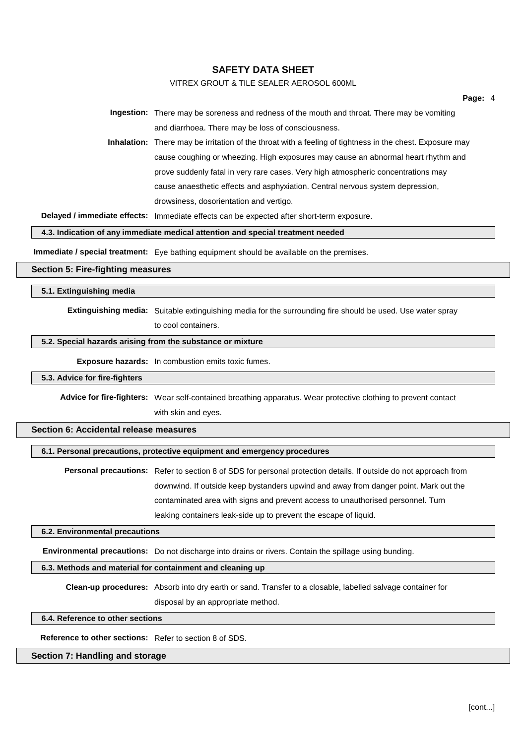### VITREX GROUT & TILE SEALER AEROSOL 600ML

**Page:** 4

**Ingestion:** There may be soreness and redness of the mouth and throat. There may be vomiting and diarrhoea. There may be loss of consciousness.

**Inhalation:** There may be irritation of the throat with a feeling of tightness in the chest. Exposure may cause coughing or wheezing. High exposures may cause an abnormal heart rhythm and prove suddenly fatal in very rare cases. Very high atmospheric concentrations may cause anaesthetic effects and asphyxiation. Central nervous system depression, drowsiness, dosorientation and vertigo.

**Delayed / immediate effects:** Immediate effects can be expected after short-term exposure.

**4.3. Indication of any immediate medical attention and special treatment needed**

**Immediate / special treatment:** Eye bathing equipment should be available on the premises.

#### **Section 5: Fire-fighting measures**

**5.1. Extinguishing media**

**Extinguishing media:** Suitable extinguishing media for the surrounding fire should be used. Use water spray

to cool containers.

#### **5.2. Special hazards arising from the substance or mixture**

**Exposure hazards:** In combustion emits toxic fumes.

#### **5.3. Advice for fire-fighters**

**Advice for fire-fighters:** Wear self-contained breathing apparatus. Wear protective clothing to prevent contact with skin and eyes.

#### **Section 6: Accidental release measures**

#### **6.1. Personal precautions, protective equipment and emergency procedures**

**Personal precautions:** Refer to section 8 of SDS for personal protection details. If outside do not approach from downwind. If outside keep bystanders upwind and away from danger point. Mark out the contaminated area with signs and prevent access to unauthorised personnel. Turn leaking containers leak-side up to prevent the escape of liquid.

#### **6.2. Environmental precautions**

**Environmental precautions:** Do not discharge into drains or rivers. Contain the spillage using bunding.

#### **6.3. Methods and material for containment and cleaning up**

**Clean-up procedures:** Absorb into dry earth or sand. Transfer to a closable, labelled salvage container for

disposal by an appropriate method.

## **6.4. Reference to other sections**

**Reference to other sections:** Refer to section 8 of SDS.

### **Section 7: Handling and storage**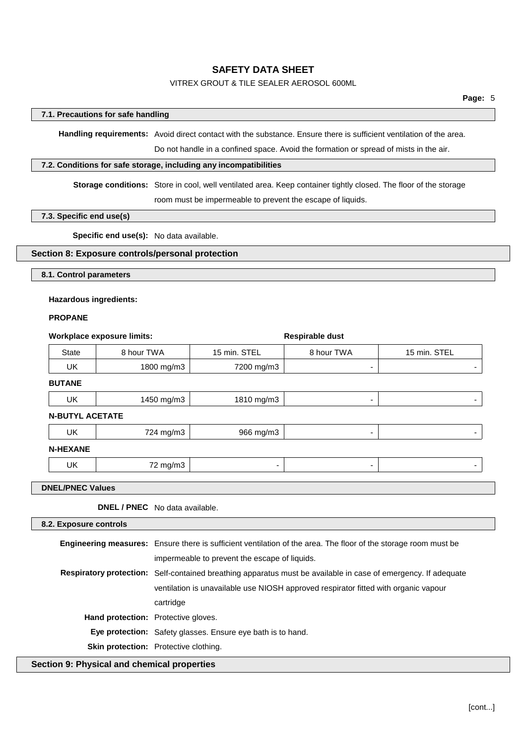## VITREX GROUT & TILE SEALER AEROSOL 600ML

#### **7.1. Precautions for safe handling**

**Handling requirements:** Avoid direct contact with the substance. Ensure there is sufficient ventilation of the area.

Do not handle in a confined space. Avoid the formation or spread of mists in the air.

#### **7.2. Conditions for safe storage, including any incompatibilities**

**Storage conditions:** Store in cool, well ventilated area. Keep container tightly closed. The floor of the storage room must be impermeable to prevent the escape of liquids.

### **7.3. Specific end use(s)**

**Specific end use(s):** No data available.

## **Section 8: Exposure controls/personal protection**

**8.1. Control parameters**

#### **Hazardous ingredients:**

#### **PROPANE**

| <b>Workplace exposure limits:</b> |            |              | <b>Respirable dust</b> |              |
|-----------------------------------|------------|--------------|------------------------|--------------|
| <b>State</b>                      | 8 hour TWA | 15 min. STEL | 8 hour TWA             | 15 min. STEL |
| UK                                | 1800 mg/m3 | 7200 mg/m3   | ۰                      |              |
| <b>BUTANE</b>                     |            |              |                        |              |
| <b>UK</b>                         | 1450 mg/m3 | 1810 mg/m3   | ۰                      | ۰            |
| <b>N-BUTYL ACETATE</b>            |            |              |                        |              |
| <b>UK</b>                         | 724 mg/m3  | 966 mg/m3    | ۰                      | ۰            |
| <b>N-HEXANE</b>                   |            |              |                        |              |
| <b>UK</b>                         | 72 mg/m3   | ۰            | ۰                      | ۰            |
|                                   |            |              |                        |              |

### **DNEL/PNEC Values**

**DNEL / PNEC** No data available.

| 8.2. Exposure controls                      |                                                                                                                        |  |  |
|---------------------------------------------|------------------------------------------------------------------------------------------------------------------------|--|--|
|                                             | <b>Engineering measures:</b> Ensure there is sufficient ventilation of the area. The floor of the storage room must be |  |  |
|                                             | impermeable to prevent the escape of liquids.                                                                          |  |  |
|                                             | <b>Respiratory protection:</b> Self-contained breathing apparatus must be available in case of emergency. If adequate  |  |  |
|                                             | ventilation is unavailable use NIOSH approved respirator fitted with organic vapour                                    |  |  |
|                                             | cartridge                                                                                                              |  |  |
| <b>Hand protection:</b> Protective gloves.  |                                                                                                                        |  |  |
|                                             | <b>Eye protection:</b> Safety glasses. Ensure eye bath is to hand.                                                     |  |  |
|                                             | <b>Skin protection:</b> Protective clothing.                                                                           |  |  |
| Section 9: Physical and chemical properties |                                                                                                                        |  |  |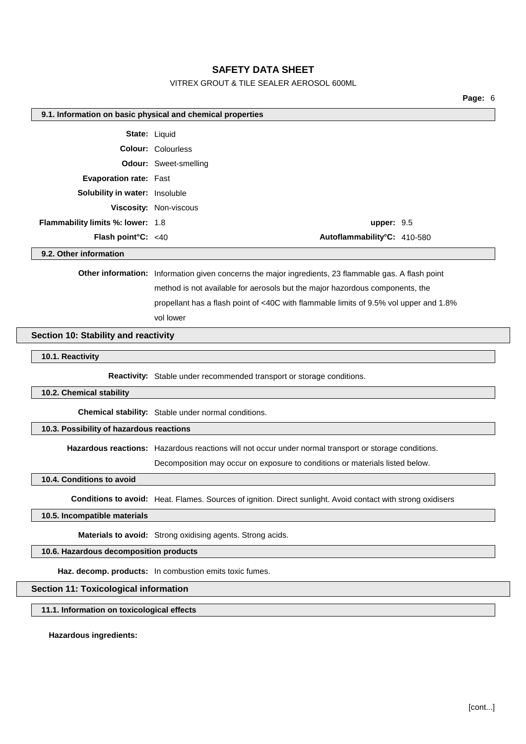### VITREX GROUT & TILE SEALER AEROSOL 600ML

**Page:** 6 **9.1. Information on basic physical and chemical properties State:** Liquid **Colour:** Colourless **Odour:** Sweet-smelling **Evaporation rate:** Fast **Solubility in water:** Insoluble **Viscosity:** Non-viscous **Flammability limits %: lower:** 1.8 **upper:** 9.5 **Flash point°C:** <40 **Autoflammability°C:** 410-580 **9.2. Other information Other information:** Information given concerns the major ingredients, 23 flammable gas. A flash point method is not available for aerosols but the major hazordous components, the propellant has a flash point of <40C with flammable limits of 9.5% vol upper and 1.8% vol lower **Section 10: Stability and reactivity 10.1. Reactivity Reactivity:** Stable under recommended transport or storage conditions. **10.2. Chemical stability Chemical stability:** Stable under normal conditions. **10.3. Possibility of hazardous reactions Hazardous reactions:** Hazardous reactions will not occur under normal transport or storage conditions. Decomposition may occur on exposure to conditions or materials listed below. **10.4. Conditions to avoid Conditions to avoid:** Heat. Flames. Sources of ignition. Direct sunlight. Avoid contact with strong oxidisers **10.5. Incompatible materials Materials to avoid:** Strong oxidising agents. Strong acids. **10.6. Hazardous decomposition products Haz. decomp. products:** In combustion emits toxic fumes. **Section 11: Toxicological information 11.1. Information on toxicological effects Hazardous ingredients:**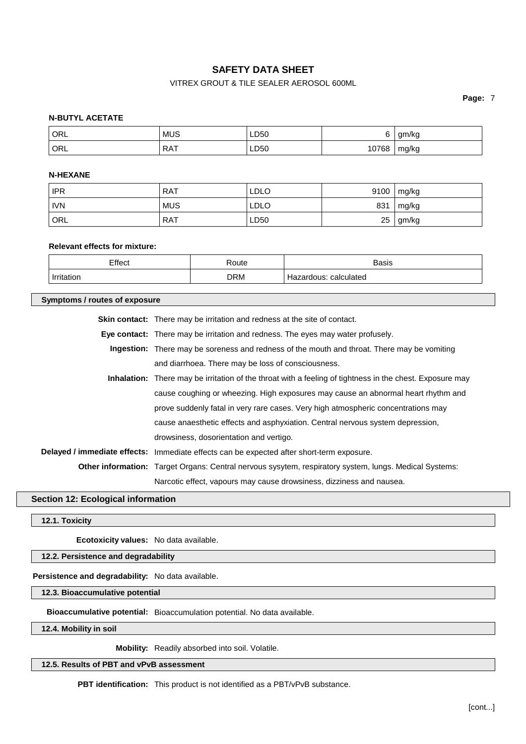## VITREX GROUT & TILE SEALER AEROSOL 600ML

**Page:** 7

### **N-BUTYL ACETATE**

| <sup>'</sup> ORL | <b>MUS</b> | LD50 | ∼            | am/ka<br>'NU |
|------------------|------------|------|--------------|--------------|
| ' ORL            | <b>RAT</b> | LD50 | 0760<br>' OC | mg/kg        |

#### **N-HEXANE**

| <b>IPR</b>         | <b>RAT</b> | <b>LDLO</b> | 9100 | mg/kg |
|--------------------|------------|-------------|------|-------|
| <b>IVN</b>         | <b>MUS</b> | <b>LDLO</b> | 831  | mg/kg |
| $\overline{O}$ ORL | <b>RAT</b> | LD50        | 25   | gm/kg |

## **Relevant effects for mixture:**

| Effect<br>____ | ≺oute            | <b>Basis</b><br>____     |
|----------------|------------------|--------------------------|
| Irritation     | DRM<br>- - - - - | calculated<br>Hazardous: |

| Symptoms / routes of exposure |                                                                                                                 |  |
|-------------------------------|-----------------------------------------------------------------------------------------------------------------|--|
|                               | <b>Skin contact:</b> There may be irritation and redness at the site of contact.                                |  |
|                               | Eye contact: There may be irritation and redness. The eyes may water profusely.                                 |  |
|                               | <b>Ingestion:</b> There may be soreness and redness of the mouth and throat. There may be vomiting              |  |
|                               | and diarrhoea. There may be loss of consciousness.                                                              |  |
|                               | <b>Inhalation:</b> There may be irritation of the throat with a feeling of tightness in the chest. Exposure may |  |
|                               | cause coughing or wheezing. High exposures may cause an abnormal heart rhythm and                               |  |
|                               | prove suddenly fatal in very rare cases. Very high atmospheric concentrations may                               |  |
|                               | cause anaesthetic effects and asphyxiation. Central nervous system depression,                                  |  |
|                               | drowsiness, dosorientation and vertigo.                                                                         |  |
|                               | Delayed / immediate effects: Immediate effects can be expected after short-term exposure.                       |  |
|                               | <b>Other information:</b> Target Organs: Central nervous sysytem, respiratory system, lungs. Medical Systems:   |  |
|                               | Narcotic effect, vapours may cause drowsiness, dizziness and nausea.                                            |  |

## **Section 12: Ecological information**

**12.1. Toxicity**

**Ecotoxicity values:** No data available.

## **12.2. Persistence and degradability**

## **Persistence and degradability:** No data available.

**12.3. Bioaccumulative potential**

**Bioaccumulative potential:** Bioaccumulation potential. No data available.

**12.4. Mobility in soil**

**Mobility:** Readily absorbed into soil. Volatile.

**12.5. Results of PBT and vPvB assessment**

**PBT identification:** This product is not identified as a PBT/vPvB substance.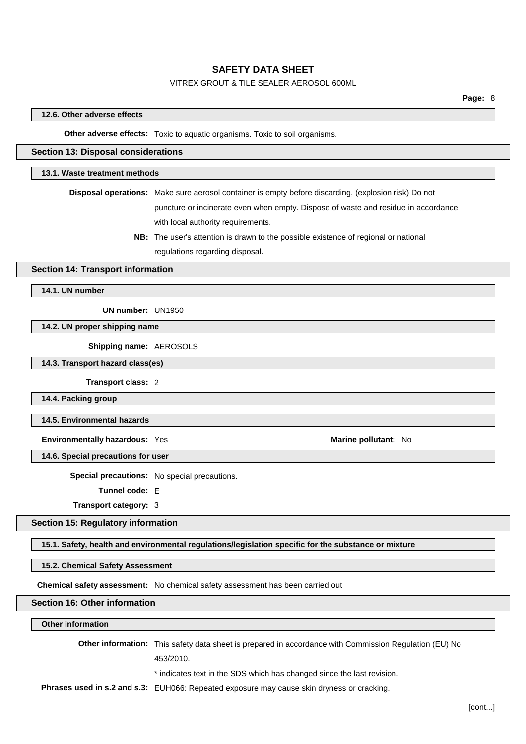## VITREX GROUT & TILE SEALER AEROSOL 600ML

#### **12.6. Other adverse effects**

**Other adverse effects:** Toxic to aquatic organisms. Toxic to soil organisms.

#### **Section 13: Disposal considerations**

#### **13.1. Waste treatment methods**

**Disposal operations:** Make sure aerosol container is empty before discarding, (explosion risk) Do not

puncture or incinerate even when empty. Dispose of waste and residue in accordance with local authority requirements.

**NB:** The user's attention is drawn to the possible existence of regional or national regulations regarding disposal.

#### **Section 14: Transport information**

**14.1. UN number**

**UN number:** UN1950

**14.2. UN proper shipping name**

**Shipping name:** AEROSOLS

**14.3. Transport hazard class(es)**

**Transport class:** 2

**14.4. Packing group**

**14.5. Environmental hazards**

**Environmentally hazardous:** Yes **Marine Marine Marine Marine Marine Marine Marine Marine Marine Marine Marine Marine Marine Marine Marine Marine Marine Marine Marine Marine Marine**

**14.6. Special precautions for user**

**Special precautions:** No special precautions.

**Tunnel code:** E

**Transport category:** 3

**Section 15: Regulatory information**

**15.1. Safety, health and environmental regulations/legislation specific for the substance or mixture**

**15.2. Chemical Safety Assessment**

**Chemical safety assessment:** No chemical safety assessment has been carried out

### **Section 16: Other information**

#### **Other information**

**Other information:** This safety data sheet is prepared in accordance with Commission Regulation (EU) No

453/2010.

\* indicates text in the SDS which has changed since the last revision.

**Phrases used in s.2 and s.3:** EUH066: Repeated exposure may cause skin dryness or cracking.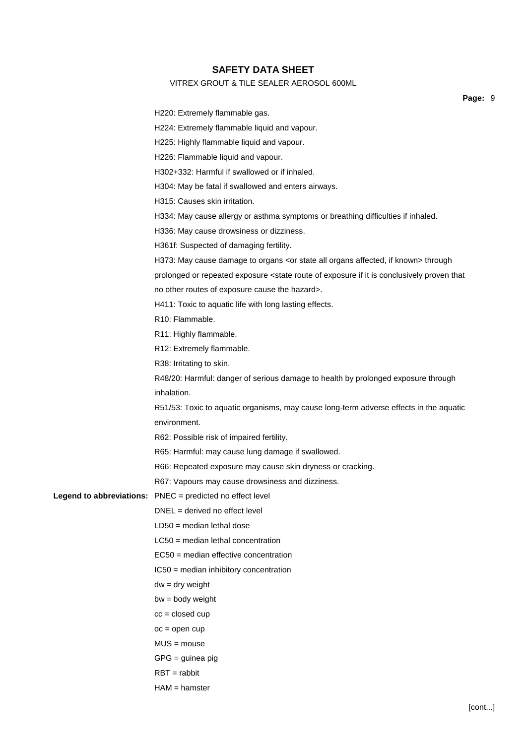## VITREX GROUT & TILE SEALER AEROSOL 600ML

**Page:** 9

|  | Pa                                                                                                                                   |
|--|--------------------------------------------------------------------------------------------------------------------------------------|
|  | H220: Extremely flammable gas.                                                                                                       |
|  | H224: Extremely flammable liquid and vapour.                                                                                         |
|  | H225: Highly flammable liquid and vapour.                                                                                            |
|  | H226: Flammable liquid and vapour.                                                                                                   |
|  | H302+332: Harmful if swallowed or if inhaled.                                                                                        |
|  | H304: May be fatal if swallowed and enters airways.                                                                                  |
|  | H315: Causes skin irritation.                                                                                                        |
|  | H334: May cause allergy or asthma symptoms or breathing difficulties if inhaled.                                                     |
|  | H336: May cause drowsiness or dizziness.                                                                                             |
|  | H361f: Suspected of damaging fertility.                                                                                              |
|  | H373: May cause damage to organs <or affected,="" all="" if="" known="" organs="" state=""> through</or>                             |
|  | prolonged or repeated exposure <state conclusively="" exposure="" if="" is="" it="" of="" proven="" route="" th="" that<=""></state> |
|  | no other routes of exposure cause the hazard>.                                                                                       |
|  | H411: Toxic to aquatic life with long lasting effects.                                                                               |
|  | R <sub>10</sub> : Flammable.                                                                                                         |
|  | R11: Highly flammable.                                                                                                               |
|  | R12: Extremely flammable.                                                                                                            |
|  | R38: Irritating to skin.                                                                                                             |
|  | R48/20: Harmful: danger of serious damage to health by prolonged exposure through                                                    |
|  | inhalation.                                                                                                                          |
|  | R51/53: Toxic to aquatic organisms, may cause long-term adverse effects in the aquatic                                               |
|  | environment.                                                                                                                         |
|  | R62: Possible risk of impaired fertility.                                                                                            |
|  | R65: Harmful: may cause lung damage if swallowed.                                                                                    |
|  | R66: Repeated exposure may cause skin dryness or cracking.                                                                           |
|  | R67: Vapours may cause drowsiness and dizziness.                                                                                     |
|  | Legend to abbreviations: PNEC = predicted no effect level                                                                            |
|  | $DNEL = derived no effect level$                                                                                                     |
|  | $LD50 = median$ lethal dose                                                                                                          |
|  | $LC50$ = median lethal concentration                                                                                                 |
|  | EC50 = median effective concentration                                                                                                |
|  | IC50 = median inhibitory concentration                                                                                               |
|  | $dw = dry$ weight                                                                                                                    |
|  | $bw = body weight$                                                                                                                   |
|  | $cc = closed cup$                                                                                                                    |
|  | $oc = open cup$                                                                                                                      |
|  | $MUS = mouse$                                                                                                                        |
|  | $GPG =$ guinea pig                                                                                                                   |
|  | $RBT = rabbit$                                                                                                                       |
|  | $HAM = hamster$                                                                                                                      |